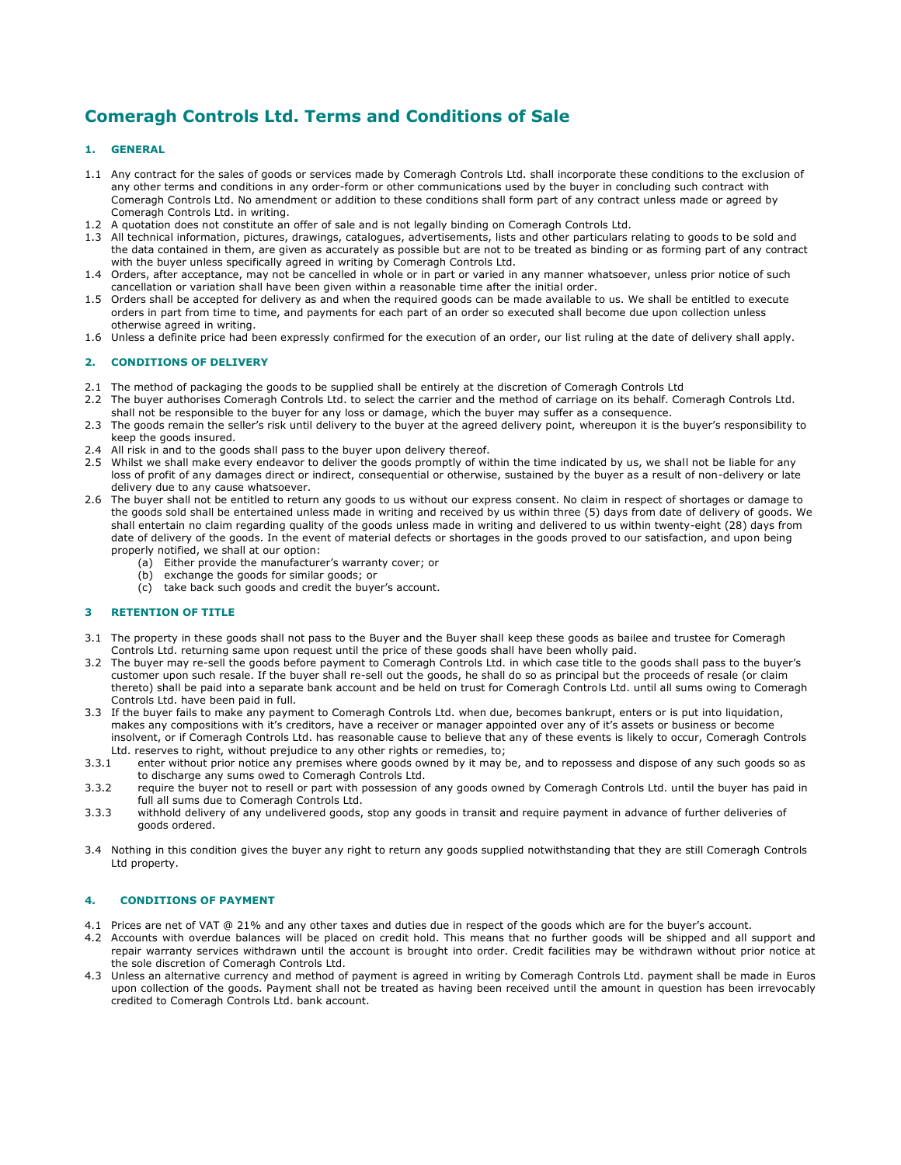# **Comeragh Controls Ltd. Terms and Conditions of Sale**

# **1. GENERAL**

- 1.1 Any contract for the sales of goods or services made by Comeragh Controls Ltd. shall incorporate these conditions to the exclusion of any other terms and conditions in any order-form or other communications used by the buyer in concluding such contract with Comeragh Controls Ltd. No amendment or addition to these conditions shall form part of any contract unless made or agreed by Comeragh Controls Ltd. in writing.
- 1.2 A quotation does not constitute an offer of sale and is not legally binding on Comeragh Controls Ltd.
- 1.3 All technical information, pictures, drawings, catalogues, advertisements, lists and other particulars relating to goods to be sold and the data contained in them, are given as accurately as possible but are not to be treated as binding or as forming part of any contract with the buyer unless specifically agreed in writing by Comeragh Controls Ltd.
- 1.4 Orders, after acceptance, may not be cancelled in whole or in part or varied in any manner whatsoever, unless prior notice of such cancellation or variation shall have been given within a reasonable time after the initial order.
- 1.5 Orders shall be accepted for delivery as and when the required goods can be made available to us. We shall be entitled to execute orders in part from time to time, and payments for each part of an order so executed shall become due upon collection unless otherwise agreed in writing.
- 1.6 Unless a definite price had been expressly confirmed for the execution of an order, our list ruling at the date of delivery shall apply.

# **2. CONDITIONS OF DELIVERY**

- 2.1 The method of packaging the goods to be supplied shall be entirely at the discretion of Comeragh Controls Ltd
- 2.2 The buyer authorises Comeragh Controls Ltd. to select the carrier and the method of carriage on its behalf. Comeragh Controls Ltd. shall not be responsible to the buyer for any loss or damage, which the buyer may suffer as a consequence.
- 2.3 The goods remain the seller's risk until delivery to the buyer at the agreed delivery point, whereupon it is the buyer's responsibility to keep the goods insured.
- 2.4 All risk in and to the goods shall pass to the buyer upon delivery thereof.
- 2.5 Whilst we shall make every endeavor to deliver the goods promptly of within the time indicated by us, we shall not be liable for any loss of profit of any damages direct or indirect, consequential or otherwise, sustained by the buyer as a result of non-delivery or late delivery due to any cause whatsoever.
- 2.6 The buyer shall not be entitled to return any goods to us without our express consent. No claim in respect of shortages or damage to the goods sold shall be entertained unless made in writing and received by us within three (5) days from date of delivery of goods. We shall entertain no claim regarding quality of the goods unless made in writing and delivered to us within twenty-eight (28) days from date of delivery of the goods. In the event of material defects or shortages in the goods proved to our satisfaction, and upon being properly notified, we shall at our option:
	- (a) Either provide the manufacturer's warranty cover; or
	- (b) exchange the goods for similar goods; or
	- (c) take back such goods and credit the buyer's account.

## **3 RETENTION OF TITLE**

- 3.1 The property in these goods shall not pass to the Buyer and the Buyer shall keep these goods as bailee and trustee for Comeragh Controls Ltd. returning same upon request until the price of these goods shall have been wholly paid.
- 3.2 The buyer may re-sell the goods before payment to Comeragh Controls Ltd. in which case title to the goods shall pass to the buyer's customer upon such resale. If the buyer shall re-sell out the goods, he shall do so as principal but the proceeds of resale (or claim thereto) shall be paid into a separate bank account and be held on trust for Comeragh Controls Ltd. until all sums owing to Comeragh Controls Ltd. have been paid in full.
- 3.3 If the buyer fails to make any payment to Comeragh Controls Ltd. when due, becomes bankrupt, enters or is put into liquidation, makes any compositions with it's creditors, have a receiver or manager appointed over any of it's assets or business or become insolvent, or if Comeragh Controls Ltd. has reasonable cause to believe that any of these events is likely to occur, Comeragh Controls Ltd. reserves to right, without prejudice to any other rights or remedies, to;
- 3.3.1 enter without prior notice any premises where goods owned by it may be, and to repossess and dispose of any such goods so as to discharge any sums owed to Comeragh Controls Ltd.
- 3.3.2 require the buyer not to resell or part with possession of any goods owned by Comeragh Controls Ltd. until the buyer has paid in full all sums due to Comeragh Controls Ltd.
- 3.3.3 withhold delivery of any undelivered goods, stop any goods in transit and require payment in advance of further deliveries of goods ordered.
- 3.4 Nothing in this condition gives the buyer any right to return any goods supplied notwithstanding that they are still Comeragh Controls Ltd property.

## **4. CONDITIONS OF PAYMENT**

- 4.1 Prices are net of VAT @ 21% and any other taxes and duties due in respect of the goods which are for the buyer's account.
- 4.2 Accounts with overdue balances will be placed on credit hold. This means that no further goods will be shipped and all support and repair warranty services withdrawn until the account is brought into order. Credit facilities may be withdrawn without prior notice at the sole discretion of Comeragh Controls Ltd.
- 4.3 Unless an alternative currency and method of payment is agreed in writing by Comeragh Controls Ltd. payment shall be made in Euros upon collection of the goods. Payment shall not be treated as having been received until the amount in question has been irrevocably credited to Comeragh Controls Ltd. bank account.